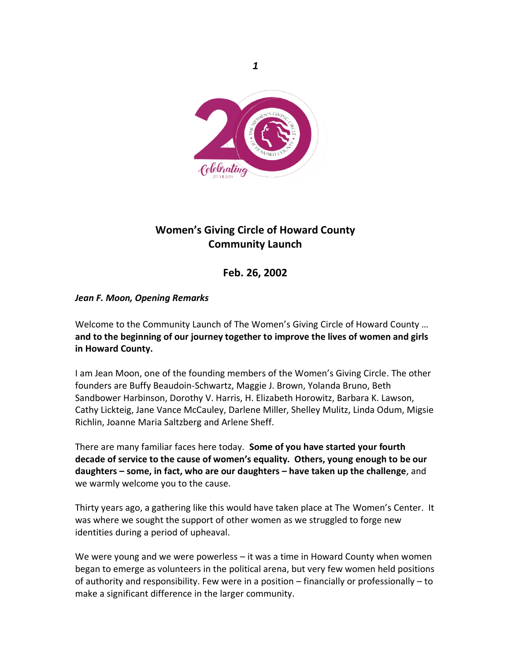

# **Women's Giving Circle of Howard County Community Launch**

**Feb. 26, 2002**

## *Jean F. Moon, Opening Remarks*

Welcome to the Community Launch of The Women's Giving Circle of Howard County … **and to the beginning of our journey together to improve the lives of women and girls in Howard County.**

I am Jean Moon, one of the founding members of the Women's Giving Circle. The other founders are Buffy Beaudoin-Schwartz, Maggie J. Brown, Yolanda Bruno, Beth Sandbower Harbinson, Dorothy V. Harris, H. Elizabeth Horowitz, Barbara K. Lawson, Cathy Lickteig, Jane Vance McCauley, Darlene Miller, Shelley Mulitz, Linda Odum, Migsie Richlin, Joanne Maria Saltzberg and Arlene Sheff.

There are many familiar faces here today. **Some of you have started your fourth decade of service to the cause of women's equality. Others, young enough to be our daughters – some, in fact, who are our daughters – have taken up the challenge**, and we warmly welcome you to the cause.

Thirty years ago, a gathering like this would have taken place at The Women's Center. It was where we sought the support of other women as we struggled to forge new identities during a period of upheaval.

We were young and we were powerless – it was a time in Howard County when women began to emerge as volunteers in the political arena, but very few women held positions of authority and responsibility. Few were in a position – financially or professionally – to make a significant difference in the larger community.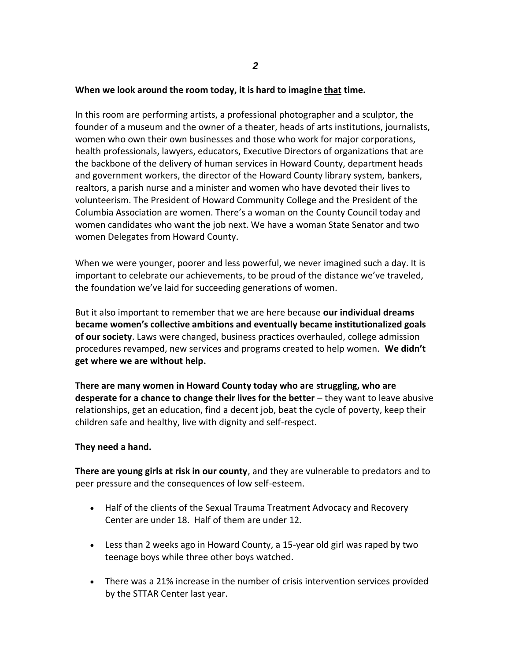#### **When we look around the room today, it is hard to imagine that time.**

In this room are performing artists, a professional photographer and a sculptor, the founder of a museum and the owner of a theater, heads of arts institutions, journalists, women who own their own businesses and those who work for major corporations, health professionals, lawyers, educators, Executive Directors of organizations that are the backbone of the delivery of human services in Howard County, department heads and government workers, the director of the Howard County library system, bankers, realtors, a parish nurse and a minister and women who have devoted their lives to volunteerism. The President of Howard Community College and the President of the Columbia Association are women. There's a woman on the County Council today and women candidates who want the job next. We have a woman State Senator and two women Delegates from Howard County.

When we were younger, poorer and less powerful, we never imagined such a day. It is important to celebrate our achievements, to be proud of the distance we've traveled, the foundation we've laid for succeeding generations of women.

But it also important to remember that we are here because **our individual dreams became women's collective ambitions and eventually became institutionalized goals of our society**. Laws were changed, business practices overhauled, college admission procedures revamped, new services and programs created to help women. **We didn't get where we are without help.**

**There are many women in Howard County today who are struggling, who are desperate for a chance to change their lives for the better** – they want to leave abusive relationships, get an education, find a decent job, beat the cycle of poverty, keep their children safe and healthy, live with dignity and self-respect.

#### **They need a hand.**

**There are young girls at risk in our county**, and they are vulnerable to predators and to peer pressure and the consequences of low self-esteem.

- Half of the clients of the Sexual Trauma Treatment Advocacy and Recovery Center are under 18. Half of them are under 12.
- Less than 2 weeks ago in Howard County, a 15-year old girl was raped by two teenage boys while three other boys watched.
- There was a 21% increase in the number of crisis intervention services provided by the STTAR Center last year.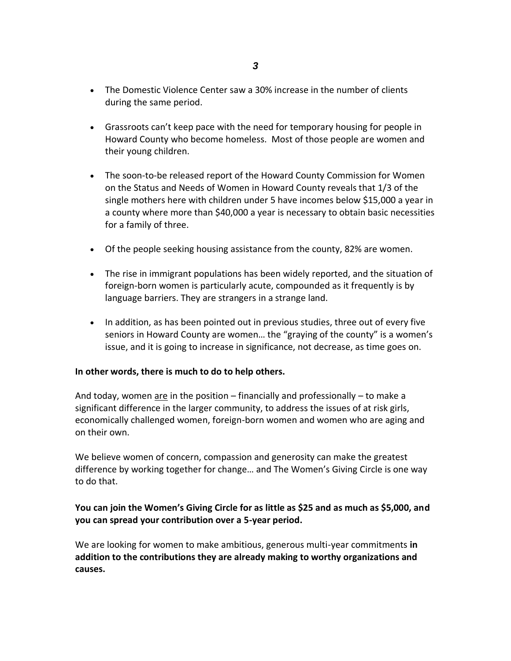- The Domestic Violence Center saw a 30% increase in the number of clients during the same period.
- Grassroots can't keep pace with the need for temporary housing for people in Howard County who become homeless. Most of those people are women and their young children.
- The soon-to-be released report of the Howard County Commission for Women on the Status and Needs of Women in Howard County reveals that 1/3 of the single mothers here with children under 5 have incomes below \$15,000 a year in a county where more than \$40,000 a year is necessary to obtain basic necessities for a family of three.
- Of the people seeking housing assistance from the county, 82% are women.
- The rise in immigrant populations has been widely reported, and the situation of foreign-born women is particularly acute, compounded as it frequently is by language barriers. They are strangers in a strange land.
- In addition, as has been pointed out in previous studies, three out of every five seniors in Howard County are women… the "graying of the county" is a women's issue, and it is going to increase in significance, not decrease, as time goes on.

## **In other words, there is much to do to help others.**

And today, women are in the position – financially and professionally – to make a significant difference in the larger community, to address the issues of at risk girls, economically challenged women, foreign-born women and women who are aging and on their own.

We believe women of concern, compassion and generosity can make the greatest difference by working together for change… and The Women's Giving Circle is one way to do that.

## **You can join the Women's Giving Circle for as little as \$25 and as much as \$5,000, and you can spread your contribution over a 5-year period.**

We are looking for women to make ambitious, generous multi-year commitments **in addition to the contributions they are already making to worthy organizations and causes.**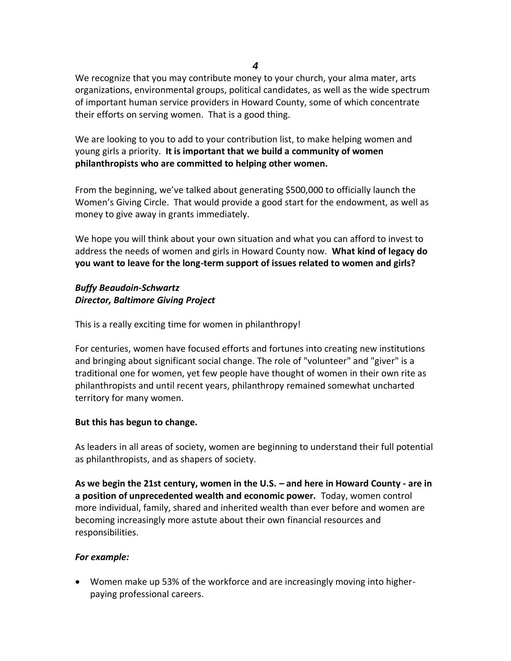*4*

We recognize that you may contribute money to your church, your alma mater, arts organizations, environmental groups, political candidates, as well as the wide spectrum of important human service providers in Howard County, some of which concentrate their efforts on serving women. That is a good thing.

We are looking to you to add to your contribution list, to make helping women and young girls a priority. **It is important that we build a community of women philanthropists who are committed to helping other women.**

From the beginning, we've talked about generating \$500,000 to officially launch the Women's Giving Circle. That would provide a good start for the endowment, as well as money to give away in grants immediately.

We hope you will think about your own situation and what you can afford to invest to address the needs of women and girls in Howard County now. **What kind of legacy do you want to leave for the long-term support of issues related to women and girls?**

## *Buffy Beaudoin-Schwartz Director, Baltimore Giving Project*

This is a really exciting time for women in philanthropy!

For centuries, women have focused efforts and fortunes into creating new institutions and bringing about significant social change. The role of "volunteer" and "giver" is a traditional one for women, yet few people have thought of women in their own rite as philanthropists and until recent years, philanthropy remained somewhat uncharted territory for many women.

## **But this has begun to change.**

As leaders in all areas of society, women are beginning to understand their full potential as philanthropists, and as shapers of society.

**As we begin the 21st century, women in the U.S. – and here in Howard County - are in a position of unprecedented wealth and economic power.** Today, women control more individual, family, shared and inherited wealth than ever before and women are becoming increasingly more astute about their own financial resources and responsibilities.

## *For example:*

• Women make up 53% of the workforce and are increasingly moving into higherpaying professional careers.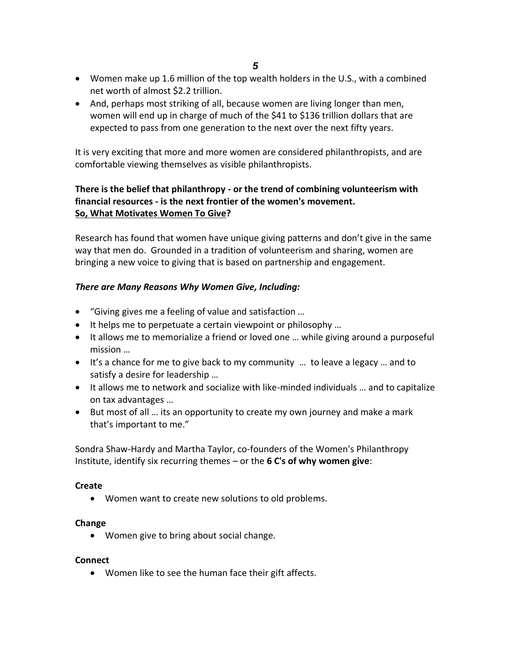*5*

- Women make up 1.6 million of the top wealth holders in the U.S., with a combined net worth of almost \$2.2 trillion.
- And, perhaps most striking of all, because women are living longer than men, women will end up in charge of much of the \$41 to \$136 trillion dollars that are expected to pass from one generation to the next over the next fifty years.

It is very exciting that more and more women are considered philanthropists, and are comfortable viewing themselves as visible philanthropists.

## **There is the belief that philanthropy - or the trend of combining volunteerism with financial resources - is the next frontier of the women's movement. So, What Motivates Women To Give?**

Research has found that women have unique giving patterns and don't give in the same way that men do. Grounded in a tradition of volunteerism and sharing, women are bringing a new voice to giving that is based on partnership and engagement.

## *There are Many Reasons Why Women Give, Including:*

- "Giving gives me a feeling of value and satisfaction …
- It helps me to perpetuate a certain viewpoint or philosophy …
- It allows me to memorialize a friend or loved one ... while giving around a purposeful mission …
- It's a chance for me to give back to my community … to leave a legacy … and to satisfy a desire for leadership …
- It allows me to network and socialize with like-minded individuals … and to capitalize on tax advantages …
- But most of all … its an opportunity to create my own journey and make a mark that's important to me."

Sondra Shaw-Hardy and Martha Taylor, co-founders of the Women's Philanthropy Institute, identify six recurring themes – or the **6 C's of why women give**:

#### **Create**

• Women want to create new solutions to old problems.

#### **Change**

• Women give to bring about social change.

#### **Connect**

• Women like to see the human face their gift affects.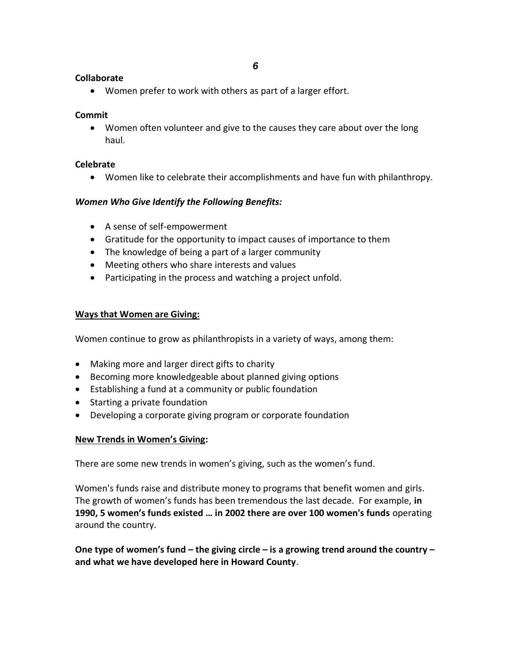#### **Collaborate**

• Women prefer to work with others as part of a larger effort.

### **Commit**

• Women often volunteer and give to the causes they care about over the long haul.

### **Celebrate**

• Women like to celebrate their accomplishments and have fun with philanthropy.

## *Women Who Give Identify the Following Benefits:*

- A sense of self-empowerment
- Gratitude for the opportunity to impact causes of importance to them
- The knowledge of being a part of a larger community
- Meeting others who share interests and values
- Participating in the process and watching a project unfold.

## **Ways that Women are Giving:**

Women continue to grow as philanthropists in a variety of ways, among them:

- Making more and larger direct gifts to charity
- Becoming more knowledgeable about planned giving options
- Establishing a fund at a community or public foundation
- Starting a private foundation
- Developing a corporate giving program or corporate foundation

## **New Trends in Women's Giving:**

There are some new trends in women's giving, such as the women's fund.

Women's funds raise and distribute money to programs that benefit women and girls. The growth of women's funds has been tremendous the last decade. For example, **in 1990, 5 women's funds existed … in 2002 there are over 100 women's funds** operating around the country.

**One type of women's fund – the giving circle – is a growing trend around the country – and what we have developed here in Howard County**.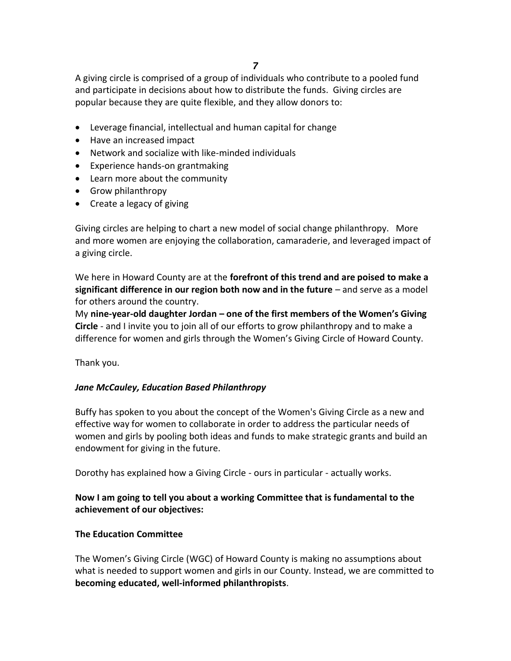A giving circle is comprised of a group of individuals who contribute to a pooled fund and participate in decisions about how to distribute the funds. Giving circles are popular because they are quite flexible, and they allow donors to:

- Leverage financial, intellectual and human capital for change
- Have an increased impact
- Network and socialize with like-minded individuals
- Experience hands-on grantmaking
- Learn more about the community
- Grow philanthropy
- Create a legacy of giving

Giving circles are helping to chart a new model of social change philanthropy. More and more women are enjoying the collaboration, camaraderie, and leveraged impact of a giving circle.

We here in Howard County are at the **forefront of this trend and are poised to make a significant difference in our region both now and in the future** – and serve as a model for others around the country.

My **nine-year-old daughter Jordan – one of the first members of the Women's Giving Circle** - and I invite you to join all of our efforts to grow philanthropy and to make a difference for women and girls through the Women's Giving Circle of Howard County.

Thank you.

#### *Jane McCauley, Education Based Philanthropy*

Buffy has spoken to you about the concept of the Women's Giving Circle as a new and effective way for women to collaborate in order to address the particular needs of women and girls by pooling both ideas and funds to make strategic grants and build an endowment for giving in the future.

Dorothy has explained how a Giving Circle - ours in particular - actually works.

## **Now I am going to tell you about a working Committee that is fundamental to the achievement of our objectives:**

#### **The Education Committee**

The Women's Giving Circle (WGC) of Howard County is making no assumptions about what is needed to support women and girls in our County. Instead, we are committed to **becoming educated, well-informed philanthropists**.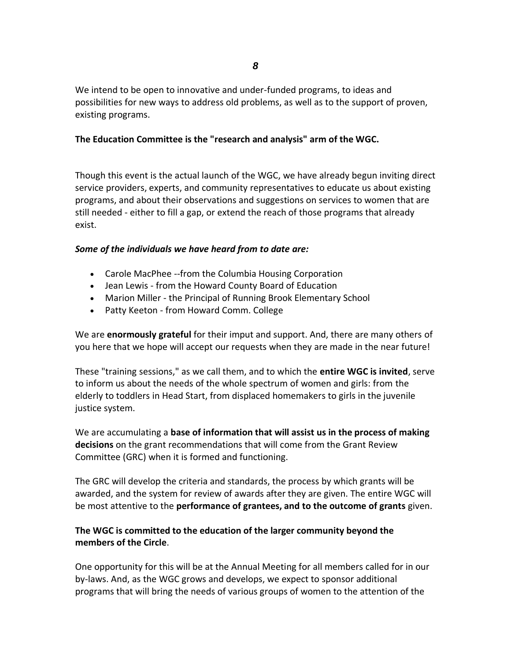We intend to be open to innovative and under-funded programs, to ideas and possibilities for new ways to address old problems, as well as to the support of proven, existing programs.

### **The Education Committee is the "research and analysis" arm of the WGC.**

Though this event is the actual launch of the WGC, we have already begun inviting direct service providers, experts, and community representatives to educate us about existing programs, and about their observations and suggestions on services to women that are still needed - either to fill a gap, or extend the reach of those programs that already exist.

#### *Some of the individuals we have heard from to date are:*

- Carole MacPhee --from the Columbia Housing Corporation
- Jean Lewis from the Howard County Board of Education
- Marion Miller the Principal of Running Brook Elementary School
- Patty Keeton from Howard Comm. College

We are **enormously grateful** for their imput and support. And, there are many others of you here that we hope will accept our requests when they are made in the near future!

These "training sessions," as we call them, and to which the **entire WGC is invited**, serve to inform us about the needs of the whole spectrum of women and girls: from the elderly to toddlers in Head Start, from displaced homemakers to girls in the juvenile justice system.

We are accumulating a **base of information that will assist us in the process of making decisions** on the grant recommendations that will come from the Grant Review Committee (GRC) when it is formed and functioning.

The GRC will develop the criteria and standards, the process by which grants will be awarded, and the system for review of awards after they are given. The entire WGC will be most attentive to the **performance of grantees, and to the outcome of grants** given.

## **The WGC is committed to the education of the larger community beyond the members of the Circle**.

One opportunity for this will be at the Annual Meeting for all members called for in our by-laws. And, as the WGC grows and develops, we expect to sponsor additional programs that will bring the needs of various groups of women to the attention of the